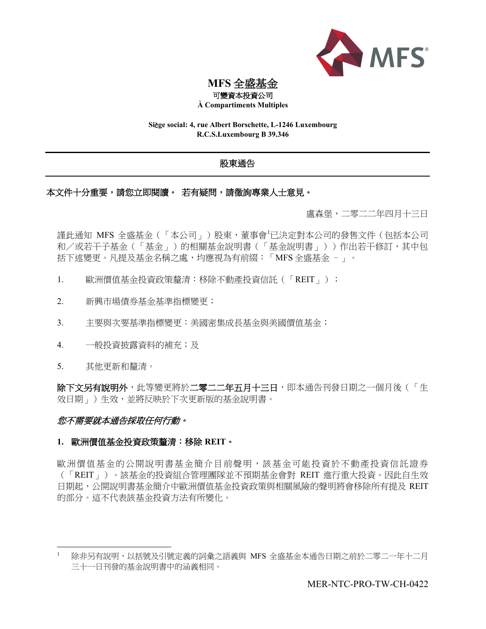

**MFS** 全盛基金

可變資本投資公司 **À Compartiments Multiples**

**Si**è**ge social: 4, rue Albert Borschette, L-1246 Luxembourg R.C.S.Luxembourg B 39.346**

# 股東通告

# 本文件十分重要,請您立即閱讀。若有疑問,請徵詢專業人士意見。

盧森堡,二零二二年四月十三日

謹此通知 MFS 全盛基金(「本公司」)股東,董事會<sup>1</sup>已決定對本公司的發售文件(包括本公司 和/或若干子基金(「基金」)的相關基金說明書(「基金說明書」))作出若干修訂,其中包 括下述變更。凡提及基金名稱之處,均應視為有前綴:「MFS 全盛基金 –」。

- 1. 歐洲價值基金投資政策釐清:移除不動產投資信託(「REIT」);
- 2. 新興市場債券基金基準指標變更;
- 3. 主要與次要基準指標變更:美國密集成長基金與美國價值基金;
- 4. 一般投資披露資料的補充;及
- 5. 其他更新和釐清。

除下文另有說明外,此等變更將於二零二二年五月十三日,即本通告刊發日期之一個月後(「生 效日期」)生效,並將反映於下次更新版的基金說明書。

# 您不需要就本通告採取任何行動。

# **1.** 歐洲價值基金投資政策釐清:移除 **REIT**。

歐洲價值基金的公開說明書基金簡介目前聲明,該基金可能投資於不動產投資信託證券 (「REIT」)。該基金的投資組合管理團隊並不預期基金會對 REIT 進行重大投資。因此自生效 日期起,公開說明書基金簡介中歐洲價值基金投資政策與相關風險的聲明將會移除所有提及 REIT 的部分。這不代表該基金投資方法有所變化。

除非另有說明,以括號及引號定義的詞彙之語義與 MFS 全盛基金本通告日期之前於二零二一年十二月 三十一日刊發的基金說明書中的涵義相同。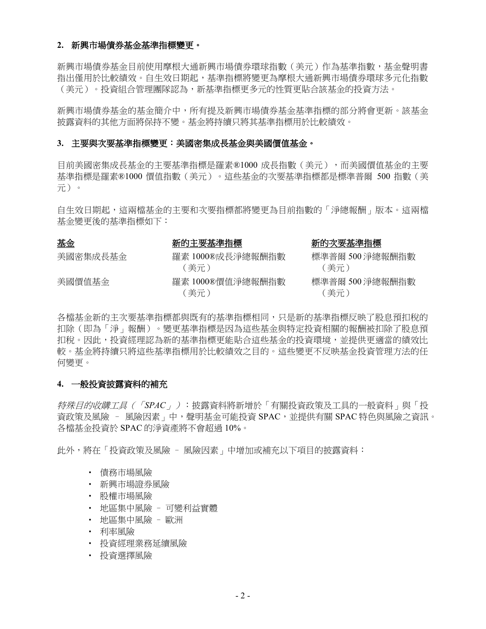### **2.** 新興市場債券基金基準指標變更。

新興市場債券基金目前使用摩根大通新興市場債券環球指數(美元)作為基準指數,基金聲明書 指出僅用於比較績效。自生效日期起,基準指標將變更為摩根大通新興市場債券環球多元化指數 (美元)。投資組合管理團隊認為,新基準指標更多元的性質更貼合該基金的投資方法。

新興市場債券基金的基金簡介中,所有提及新興市場債券基金基準指標的部分將會更新。該基金 披露資料的其他方面將保持不變。基金將持續只將其基準指標用於比較績效。

#### **3.** 主要與次要基準指標變更:美國密集成長基金與美國價值基金。

目前美國密集成長基金的主要基準指標是羅素®1000 成長指數(美元),而美國價值基金的主要 基準指標是羅素®1000 價值指數(美元)。這些基金的次要基準指標都是標準普爾 500 指數(美 元)。

自生效日期起,這兩檔基金的主要和次要指標都將變更為目前指數的「淨總報酬」版本。這兩檔 基金變更後的基準指標如下:

美國密集成長基金

美國價值基金

基金 新的主要基準指標 新的次要基準指標

| 羅素 1000®成長淨總報酬指數         |  |
|--------------------------|--|
| (美元)                     |  |
| 羅素 1000®價值淨總報酬指數<br>(美元) |  |

| 標準普爾 500 淨總報酬指數 |
|-----------------|
| (美元)            |
| 標準普爾 500 淨總報酬指數 |
| (美元)            |

各檔基金新的主次要基準指標都與既有的基準指標相同,只是新的基準指標反映了股息預扣稅的 扣除(即為「淨」報酬)。變更基準指標是因為這些基金與特定投資相關的報酬被扣除了股息預 扣稅。因此,投資經理認為新的基準指標更能貼合這些基金的投資環境,並提供更適當的績效比 較。基金將持續只將這些基準指標用於比較績效之目的。這些變更不反映基金投資管理方法的任 何變更。

#### **4.** 一般投資披露資料的補充

特殊目的收購工具(「*SPAC*」):披露資料將新增於「有關投資政策及工具的一般資料」與「投 資政策及風險 – 風險因素」中,聲明基金可能投資 SPAC,並提供有關 SPAC 特色與風險之資訊。 各檔基金投資於 SPAC 的淨資產將不會超過 10%。

此外,將在「投資政策及風險 – 風險因素」中增加或補充以下項目的披露資料:

- 債務市場風險
- 新興市場證券風險
- 股權市場風險
- 地區集中風險 可變利益實體
- 地區集中風險 歐洲
- 利率風險
- 投資經理業務延續風險
- 投資選擇風險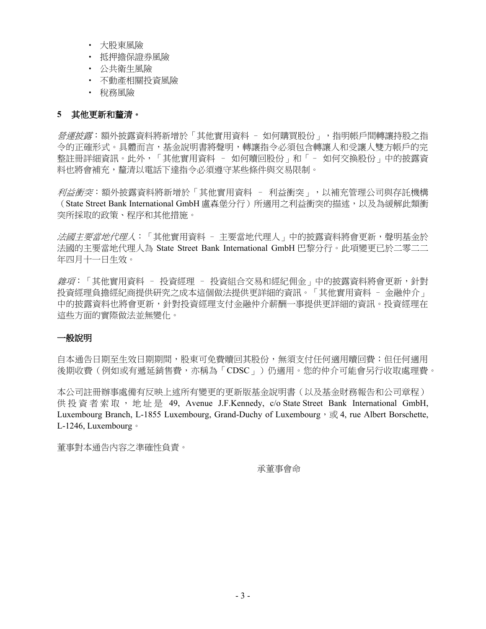- 大股東風險
- 抵押擔保證券風險
- 公共衛生風險
- 不動產相關投資風險
- 稅務風險

# **5** 其他更新和釐清。

*營運披露*:額外披露資料將新增於「其他實用資料 - 如何購買股份 - ,指明帳戶間轉讓持股之指 令的正確形式。具體而言,基金說明書將聲明,轉讓指令必須包含轉讓人和受讓人雙方帳戶的完 整註冊詳細資訊。此外,「其他實用資料 – 如何贖回股份」和「– 如何交換股份」中的披露資 料也將會補充,釐清以電話下達指令必須遵守某些條件與交易限制。

利益衝突:額外披露資料將新增於「其他實用資料 – 利益衝突」,以補充管理公司與存託機構 (State Street Bank International GmbH 盧森堡分行)所適用之利益衝突的描述,以及為緩解此類衝 突所採取的政策、程序和其他措施。

法國主要當地代理人:「其他實用資料 - 主要當地代理人」中的披露資料將會更新,聲明基金於 法國的主要當地代理人為 State Street Bank International GmbH 巴黎分行。此項變更已於二零二二 年四月十一日生效。

雜項:「其他實用資料 - 投資經理 - 投資組合交易和經紀佣金」中的披露資料將會更新,針對 投資經理負擔經紀商提供研究之成本這個做法提供更詳細的資訊。「其他實用資料 – 金融仲介」 中的披露資料也將會更新,針對投資經理支付金融仲介薪酬一事提供更詳細的資訊。投資經理在 這些方面的實際做法並無變化。

# 一般說明

自本通告日期至生效日期期間,股東可免費贖回其股份,無須支付任何適用贖回費;但任何適用 後期收費(例如或有遞延銷售費,亦稱為「CDSC」)仍適用。您的仲介可能會另行收取處理費。

本公司註冊辦事處備有反映上述所有變更的更新版基金說明書(以及基金財務報告和公司章程) 供投資者索取, 地址是 49, Avenue J.F.Kennedy, c/o State Street Bank International GmbH, Luxembourg Branch, L-1855 Luxembourg, Grand-Duchy of Luxembourg,  $\overrightarrow{\mathcal{R}}$  4, rue Albert Borschette, L-1246, Luxembourg。

董事對本通告內容之準確性負責。

承董事會命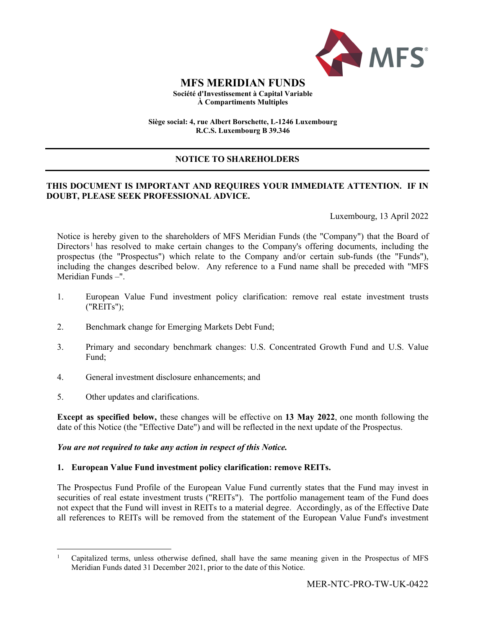

### **MFS MERIDIAN FUNDS Société d'Investissement à Capital Variable À Compartiments Multiples**

**Siège social: 4, rue Albert Borschette, L-1246 Luxembourg R.C.S. Luxembourg B 39.346**

# **NOTICE TO SHAREHOLDERS**

# **THIS DOCUMENT IS IMPORTANT AND REQUIRES YOUR IMMEDIATE ATTENTION. IF IN DOUBT, PLEASE SEEK PROFESSIONAL ADVICE.**

Luxembourg, 13 April 2022

Notice is hereby given to the shareholders of MFS Meridian Funds (the "Company") that the Board of Directors<sup>[1](#page-3-0)</sup> has resolved to make certain changes to the Company's offering documents, including the prospectus (the "Prospectus") which relate to the Company and/or certain sub-funds (the "Funds"), including the changes described below. Any reference to a Fund name shall be preceded with "MFS Meridian Funds –".

- 1. European Value Fund investment policy clarification: remove real estate investment trusts ("REITs");
- 2. Benchmark change for Emerging Markets Debt Fund;
- 3. Primary and secondary benchmark changes: U.S. Concentrated Growth Fund and U.S. Value Fund;
- 4. General investment disclosure enhancements; and
- 5. Other updates and clarifications.

**Except as specified below,** these changes will be effective on **13 May 2022**, one month following the date of this Notice (the "Effective Date") and will be reflected in the next update of the Prospectus.

#### *You are not required to take any action in respect of this Notice.*

# **1. European Value Fund investment policy clarification: remove REITs.**

The Prospectus Fund Profile of the European Value Fund currently states that the Fund may invest in securities of real estate investment trusts ("REITs"). The portfolio management team of the Fund does not expect that the Fund will invest in REITs to a material degree. Accordingly, as of the Effective Date all references to REITs will be removed from the statement of the European Value Fund's investment

<span id="page-3-0"></span><sup>1</sup> Capitalized terms, unless otherwise defined, shall have the same meaning given in the Prospectus of MFS Meridian Funds dated 31 December 2021, prior to the date of this Notice.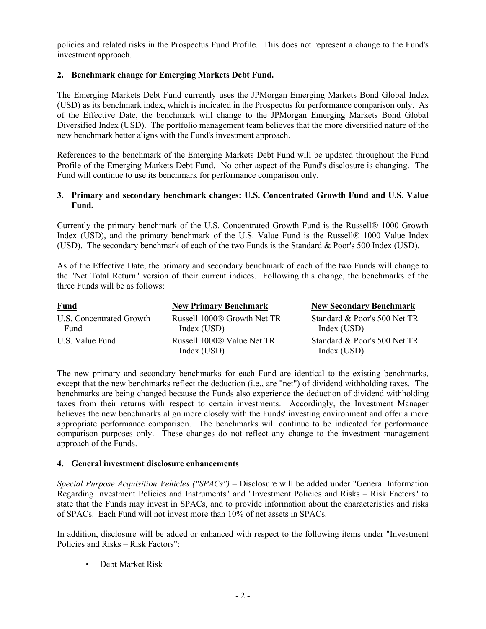policies and related risks in the Prospectus Fund Profile. This does not represent a change to the Fund's investment approach.

### **2. Benchmark change for Emerging Markets Debt Fund.**

The Emerging Markets Debt Fund currently uses the JPMorgan Emerging Markets Bond Global Index (USD) as its benchmark index, which is indicated in the Prospectus for performance comparison only. As of the Effective Date, the benchmark will change to the JPMorgan Emerging Markets Bond Global Diversified Index (USD). The portfolio management team believes that the more diversified nature of the new benchmark better aligns with the Fund's investment approach.

References to the benchmark of the Emerging Markets Debt Fund will be updated throughout the Fund Profile of the Emerging Markets Debt Fund. No other aspect of the Fund's disclosure is changing. The Fund will continue to use its benchmark for performance comparison only.

#### **3. Primary and secondary benchmark changes: U.S. Concentrated Growth Fund and U.S. Value Fund.**

Currently the primary benchmark of the U.S. Concentrated Growth Fund is the Russell® 1000 Growth Index (USD), and the primary benchmark of the U.S. Value Fund is the Russell® 1000 Value Index (USD). The secondary benchmark of each of the two Funds is the Standard & Poor's 500 Index (USD).

As of the Effective Date, the primary and secondary benchmark of each of the two Funds will change to the "Net Total Return" version of their current indices. Following this change, the benchmarks of the three Funds will be as follows:

| <b>Fund</b>                      | <b>New Primary Benchmark</b>               | <b>New Secondary Benchmark</b>              |
|----------------------------------|--------------------------------------------|---------------------------------------------|
| U.S. Concentrated Growth<br>Fund | Russell 1000® Growth Net TR<br>Index (USD) | Standard & Poor's 500 Net TR<br>Index (USD) |
| U.S. Value Fund                  | Russell 1000® Value Net TR<br>Index (USD)  | Standard & Poor's 500 Net TR<br>Index (USD) |

The new primary and secondary benchmarks for each Fund are identical to the existing benchmarks, except that the new benchmarks reflect the deduction (i.e., are "net") of dividend withholding taxes. The benchmarks are being changed because the Funds also experience the deduction of dividend withholding taxes from their returns with respect to certain investments. Accordingly, the Investment Manager believes the new benchmarks align more closely with the Funds' investing environment and offer a more appropriate performance comparison. The benchmarks will continue to be indicated for performance comparison purposes only. These changes do not reflect any change to the investment management approach of the Funds.

#### **4. General investment disclosure enhancements**

*Special Purpose Acquisition Vehicles ("SPACs")* – Disclosure will be added under "General Information Regarding Investment Policies and Instruments" and "Investment Policies and Risks – Risk Factors" to state that the Funds may invest in SPACs, and to provide information about the characteristics and risks of SPACs. Each Fund will not invest more than 10% of net assets in SPACs.

In addition, disclosure will be added or enhanced with respect to the following items under "Investment Policies and Risks – Risk Factors":

• Debt Market Risk